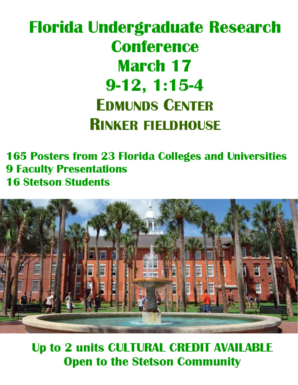# **Florida Undergraduate Research Conference March 17**  $9-12, 1:15-4$ **EDMUNDS CENTER RINKER FIELDHOUSE**

**165 Posters from 23 Florida Colleges and Universities 9 Faculty Presentations 16 Stetson Students** 



**Up to 2 units CULTURAL CREDIT AVAILABLE Open to the Stetson Community**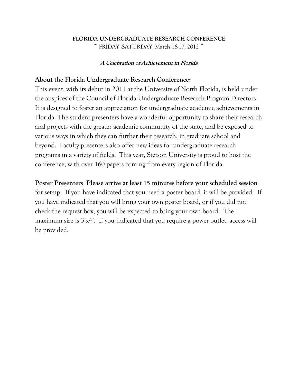## **FLORIDA UNDERGRADUATE RESEARCH CONFERENCE**  $\degree$  FRIDAY -SATURDAY, March 16-17, 2012  $\degree$

**A Celebration of Achievement in Florida**

## **About the Florida Undergraduate Research Conference:**

This event, with its debut in 2011 at the University of North Florida, is held under the auspices of the Council of Florida Undergraduate Research Program Directors. It is designed to foster an appreciation for undergraduate academic achievements in Florida. The student presenters have a wonderful opportunity to share their research and projects with the greater academic community of the state, and be exposed to various ways in which they can further their research, in graduate school and beyond. Faculty presenters also offer new ideas for undergraduate research programs in a variety of fields. This year, Stetson University is proud to host the conference, with over 160 papers coming from every region of Florida.

## **Poster Presenters Please arrive at least 15 minutes before your scheduled session**

for set-up. If you have indicated that you need a poster board, it will be provided. If you have indicated that you will bring your own poster board, or if you did not check the request box, you will be expected to bring your own board. The maximum size is 3'x4'. If you indicated that you require a power outlet, access will be provided.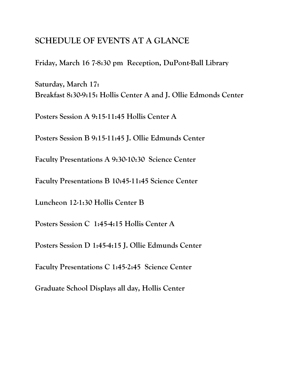# **SCHEDULE OF EVENTS AT A GLANCE**

**Friday, March 16 7-8:30 pm Reception, DuPont-Ball Library**

**Saturday, March 17: Breakfast 8:30-9:15: Hollis Center A and J. Ollie Edmonds Center**

**Posters Session A 9:15-11:45 Hollis Center A**

**Posters Session B 9:15-11:45 J. Ollie Edmunds Center**

**Faculty Presentations A 9:30-10:30 Science Center**

**Faculty Presentations B 10:45-11:45 Science Center**

**Luncheon 12-1:30 Hollis Center B**

**Posters Session C 1:45-4:15 Hollis Center A**

**Posters Session D 1:45-4:15 J. Ollie Edmunds Center**

**Faculty Presentations C 1:45-2:45 Science Center**

**Graduate School Displays all day, Hollis Center**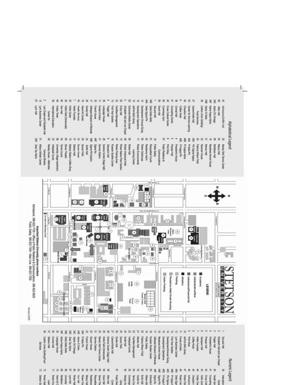



**RARREREE** N & & & N N & & & 4 & & # & # ¥ 232823 = = Deta Deta Kapa Alpha<br>at Deta Deta Forest of Arden Carton Union BuildingFood French House Coffee Kinsk Socoel Field **Barbacon Hall Conrad Hall** ascoy adenduary Zeta Tay Alpha Gords Hall **Sonth Hall** Patricia Wilson Field Gilespie Museum of Minerals **Meadows Alumni House** Development Operations Development/Annual Giving Lynn Business Center Print Shop Flager Hall **BALand Hall** Alpha Chi Omega **Alpha XI Delta** Becon House Service Station **Nandy Stol Tennis Center** Hollie Field (Intramanals) Science Center (Sage Hall) Carson Hollis Hall roteybal Couts Exilites Management **Vermet Hall** Public Subsy Russian Studies Center First Year Studies duPont-Ball Library Holer Fountain Sampaco Hall Elizabeth Hall and **TERNA JANSIAL** astoH s house Services ä MakO Numeric Legend STEESE SEL 笃  $\frac{6}{2}$ ちああまのお 显 ロロ 需  $\mathfrak{A}$ 8 S 32 8 S. 22 铅 18 棄 翕  $\ddot{\mathbf{z}}$ ŝ 畵 妾 盎 立台 Public Red<br>Public Red / eddey (d)  $\begin{array}{l} \displaystyle \text{S} \text{ outputs} \\ \displaystyle \text{H} \text{M} \text{ outputs} \\ \displaystyle \text{H} \text{M} \text{ outputs} \end{array}$  $\begin{minipage}{.4\linewidth} \begin{tabular}{l} \hline \textbf{1} & \textbf{1} & \textbf{1} & \textbf{1} & \textbf{1} & \textbf{1} & \textbf{1} & \textbf{1} & \textbf{1} & \textbf{1} & \textbf{1} & \textbf{1} & \textbf{1} & \textbf{1} & \textbf{1} & \textbf{1} & \textbf{1} & \textbf{1} & \textbf{1} & \textbf{1} & \textbf{1} & \textbf{1} & \textbf{1} & \textbf{1} & \textbf{1} & \textbf{1} & \textbf{1} & \textbf{1} & \$  $\begin{array}{l} \displaystyle \lim_{n \rightarrow \infty} \sup_{\mathbf{r} \in \mathbb{R}^n} \mathbf{r} \in \mathbb{R}^n \hfill \newline \displaystyle \lim_{n \rightarrow \infty} \sup_{\mathbf{r} \in \mathbb{R}^n} \mathbf{r} \in \mathbb{R}^n \hfill \newline \displaystyle \lim_{n \rightarrow \infty} \sup_{\mathbf{r} \in \mathbb{R}^n} \mathbf{r} \in \mathbb{R}^n \hfill \newline \displaystyle \lim_{n \rightarrow \infty} \sup_{\mathbf{r} \in \mathbb{R}^n} \mathbf{r} \in \mathbb{R}^n \h$  $\begin{array}{l} \displaystyle \text{Min} \text{ M} \text{ in } \mathbb{R}^2\\ \displaystyle \text{Min} \text{ M} \text{ in } \mathbb{R}^2\\ \displaystyle \text{Min} \text{ M} \text{ in } \mathbb{R}^2\\ \displaystyle \text{Min} \text{ M} \text{ in } \mathbb{R}^2\\ \displaystyle \text{M} \text{ in } \mathbb{R}^2\\ \displaystyle \text{M} \text{ in } \mathbb{R}^2\\ \displaystyle \text{M} \text{ in } \mathbb{R}^2\\ \end{array}$ Currently Ho Emit Hall<br>Conte br Nu nudes Philappine<br>Pilikappine Delta Sipn Advisors<br>Relate Par chaudoin Internation ny mong Waxe Ath Edmuds g £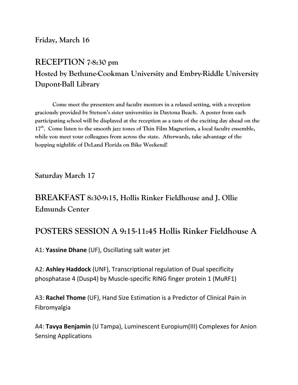# **Friday, March 16**

# **RECEPTION 7-8:30 pm Hosted by Bethune-Cookman University and Embry-Riddle University Dupont-Ball Library**

**Come meet the presenters and faculty mentors in a relaxed setting, with a reception graciously provided by Stetson's sister universities in Daytona Beach. A poster from each participating school will be displayed at the reception as a taste of the exciting day ahead on the 17th. Come listen to the smooth jazz tones of Thin Film Magnetism, a local faculty ensemble, while you meet your colleagues from across the state. Afterwards, take advantage of the hopping nightlife of DeLand Florida on Bike Weekend!**

**Saturday March 17**

# **BREAKFAST 8:30-9:15, Hollis Rinker Fieldhouse and J. Ollie Edmunds Center**

# **POSTERS SESSION A 9:15-11:45 Hollis Rinker Fieldhouse A**

A1: **Yassine Dhane** (UF), Oscillating salt water jet

A2: **Ashley Haddock** (UNF), Transcriptional regulation of Dual specificity phosphatase 4 (Dusp4) by Muscle-specific RING finger protein 1 (MuRF1)

A3: **Rachel Thome** (UF), Hand Size Estimation is a Predictor of Clinical Pain in Fibromyalgia

A4: **Tavya Benjamin** (U Tampa), Luminescent Europium(III) Complexes for Anion Sensing Applications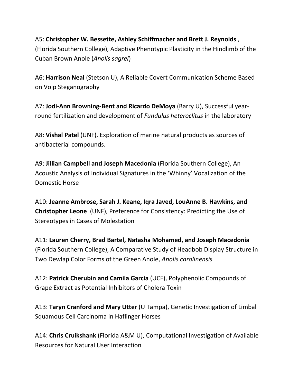A5: **Christopher W. Bessette, Ashley Schiffmacher and Brett J. Reynolds** , (Florida Southern College), Adaptive Phenotypic Plasticity in the Hindlimb of the Cuban Brown Anole (*Anolis sagrei*)

A6: **Harrison Neal** (Stetson U), A Reliable Covert Communication Scheme Based on Voip Steganography

A7: **Jodi-Ann Browning-Bent and Ricardo DeMoya** (Barry U), Successful yearround fertilization and development of *Fundulus heteroclitus* in the laboratory

A8: **Vishal Patel** (UNF), Exploration of marine natural products as sources of antibacterial compounds.

A9: **Jillian Campbell and Joseph Macedonia** (Florida Southern College), An Acoustic Analysis of Individual Signatures in the 'Whinny' Vocalization of the Domestic Horse

A10: **Jeanne Ambrose, Sarah J. Keane, Iqra Javed, LouAnne B. Hawkins, and Christopher Leone** (UNF), Preference for Consistency: Predicting the Use of Stereotypes in Cases of Molestation

A11: **Lauren Cherry, Brad Bartel, Natasha Mohamed, and Joseph Macedonia** (Florida Southern College), A Comparative Study of Headbob Display Structure in Two Dewlap Color Forms of the Green Anole, *Anolis carolinensis*

A12: **Patrick Cherubin and Camila Garcia** (UCF), Polyphenolic Compounds of Grape Extract as Potential Inhibitors of Cholera Toxin

A13: **Taryn Cranford and Mary Utter** (U Tampa), Genetic Investigation of Limbal Squamous Cell Carcinoma in Haflinger Horses

A14: **Chris Cruikshank** (Florida A&M U), Computational Investigation of Available Resources for Natural User Interaction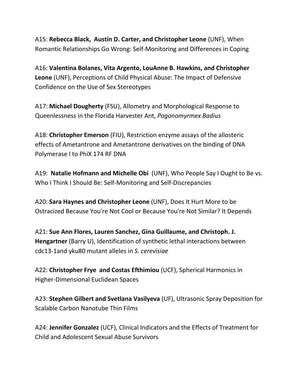A15: **Rebecca Black, Austin D. Carter, and Christopher Leone** (UNF), When Romantic Relationships Go Wrong: Self-Monitoring and Differences in Coping

A16: **Valentina Bolanes, Vita Argento, LouAnne B. Hawkins, and Christopher Leone** (UNF), Perceptions of Child Physical Abuse: The Impact of Defensive Confidence on the Use of Sex Stereotypes

A17: **Michael Dougherty** (FSU), Allometry and Morphological Response to Queenlessness in the Florida Harvester Ant, *Pogonomyrmex Badius*

A18: **Christopher Emerson** (FIU), Restriction enzyme assays of the allosteric effects of Ametantrone and Ametantrone derivatives on the binding of DNA Polymerase I to PhiX 174 RF DNA

A19: **Natalie Hofmann and Michelle Obi** (UNF), Who People Say I Ought to Be vs. Who I Think I Should Be: Self-Monitoring and Self-Discrepancies

A20: **Sara Haynes and Christopher Leone** (UNF), Does It Hurt More to be Ostracized Because You're Not Cool or Because You're Not Similar? It Depends

A21: **Sue Ann Flores, Lauren Sanchez, Gina Guillaume, and Christoph. J. Hengartner** (Barry U), Identification of synthetic lethal interactions between cdc13-1and yku80 mutant alleles in *S. cerevisiae*

A22: **Christopher Frye and Costas Efthimiou** (UCF), Spherical Harmonics in Higher-Dimensional Euclidean Spaces

A23: **Stephen Gilbert and Svetlana Vasilyeva** (UF), Ultrasonic Spray Deposition for Scalable Carbon Nanotube Thin Films

A24: **Jennifer Gonzalez** (UCF), Clinical Indicators and the Effects of Treatment for Child and Adolescent Sexual Abuse Survivors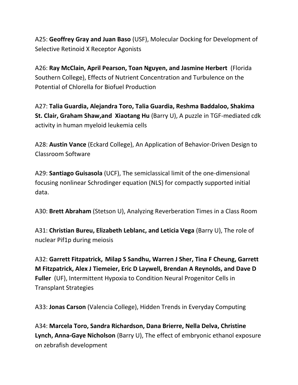A25: **Geoffrey Gray and Juan Baso** (USF), Molecular Docking for Development of Selective Retinoid X Receptor Agonists

A26: **Ray McClain, April Pearson, Toan Nguyen, and Jasmine Herbert** (Florida Southern College), Effects of Nutrient Concentration and Turbulence on the Potential of Chlorella for Biofuel Production

A27: **Talia Guardia, Alejandra Toro, Talia Guardia, Reshma Baddaloo, Shakima St. Clair, Graham Shaw,and Xiaotang Hu** (Barry U), A puzzle in TGF-mediated cdk activity in human myeloid leukemia cells

A28: **Austin Vance** (Eckard College), An Application of Behavior-Driven Design to Classroom Software

A29: **Santiago Guisasola** (UCF), The semiclassical limit of the one-dimensional focusing nonlinear Schrodinger equation (NLS) for compactly supported initial data.

A30: **Brett Abraham** (Stetson U), Analyzing Reverberation Times in a Class Room

A31: **Christian Bureu, Elizabeth Leblanc, and Leticia Vega** (Barry U), The role of nuclear Pif1p during meiosis

A32: **Garrett Fitzpatrick, Milap S Sandhu, Warren J Sher, Tina F Cheung, Garrett M Fitzpatrick, Alex J Tiemeier, Eric D Laywell, Brendan A Reynolds, and Dave D Fuller** (UF), Intermittent Hypoxia to Condition Neural Progenitor Cells in Transplant Strategies

A33: **Jonas Carson** (Valencia College), Hidden Trends in Everyday Computing

A34: **Marcela Toro, Sandra Richardson, Dana Brierre, Nella Delva, Christine Lynch, Anna-Gaye Nicholson** (Barry U), The effect of embryonic ethanol exposure on zebrafish development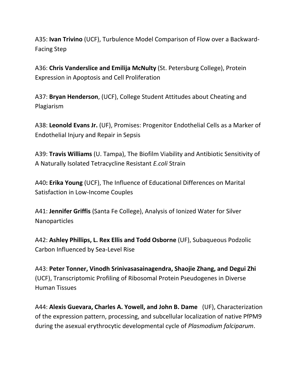A35: **Ivan Trivino** (UCF), Turbulence Model Comparison of Flow over a Backward-Facing Step

A36: **Chris Vanderslice and Emilija McNulty** (St. Petersburg College), Protein Expression in Apoptosis and Cell Proliferation

A37: **Bryan Henderson**, (UCF), College Student Attitudes about Cheating and Plagiarism

A38: **Leonold Evans Jr.** (UF), Promises: Progenitor Endothelial Cells as a Marker of Endothelial Injury and Repair in Sepsis

A39: **Travis Williams** (U. Tampa), The Biofilm Viability and Antibiotic Sensitivity of A Naturally Isolated Tetracycline Resistant *E.coli* Strain

A40**: Erika Young** (UCF), The Influence of Educational Differences on Marital Satisfaction in Low-Income Couples

A41: **Jennifer Griffis** (Santa Fe College), Analysis of Ionized Water for Silver Nanoparticles

A42: **Ashley Phillips, L. Rex Ellis and Todd Osborne** (UF), Subaqueous Podzolic Carbon Influenced by Sea-Level Rise

A43: **Peter Tonner, Vinodh Srinivasasainagendra, Shaojie Zhang, and Degui Zhi** (UCF), Transcriptomic Profiling of Ribosomal Protein Pseudogenes in Diverse Human Tissues

A44: **Alexis Guevara, Charles A. Yowell, and John B. Dame** (UF), Characterization of the expression pattern, processing, and subcellular localization of native PfPM9 during the asexual erythrocytic developmental cycle of *Plasmodium falciparum*.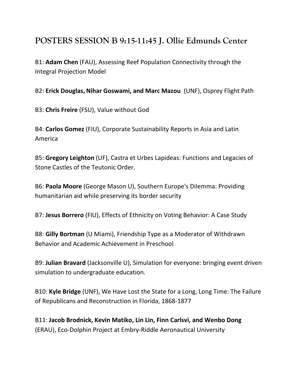# **POSTERS SESSION B 9:15-11:45 J. Ollie Edmunds Center**

B1: **Adam Chen** (FAU), Assessing Reef Population Connectivity through the Integral Projection Model

B2: **Erick Douglas, Nihar Goswami, and Marc Mazou** (UNF), Osprey Flight Path

B3: **Chris Freire** (FSU), Value without God

B4: **Carlos Gomez** (FIU), Corporate Sustainability Reports in Asia and Latin America

B5: **Gregory Leighton** (UF), Castra et Urbes Lapideas: Functions and Legacies of Stone Castles of the Teutonic Order.

B6: **Paola Moore** (George Mason U), Southern Europe's DiIemma: Providing humanitarian aid while preserving its border security

B7: **Jesus Borrero** (FIU), Effects of Ethnicity on Voting Behavior: A Case Study

B8: **Gilly Bortman** (U Miami), Friendship Type as a Moderator of Withdrawn Behavior and Academic Achievement in Preschool

B9: **Julian Bravard** (Jacksonville U), Simulation for everyone: bringing event driven simulation to undergraduate education.

B10: **Kyle Bridge** (UNF), We Have Lost the State for a Long, Long Time: The Failure of Republicans and Reconstruction in Florida, 1868-1877

B11: **Jacob Brodnick, Kevin Matiko, Lin Lin, Finn Carlsvi, and Wenbo Dong** (ERAU), Eco-Dolphin Project at Embry-Riddle Aeronautical University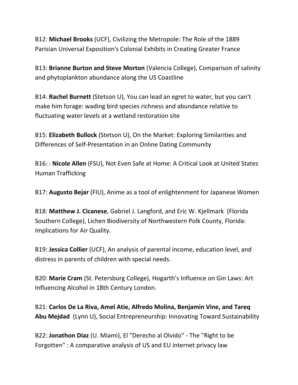B12: **Michael Brooks** (UCF), Civilizing the Metropole: The Role of the 1889 Parisian Universal Exposition's Colonial Exhibits in Creating Greater France

B13: **Brianne Burton and Steve Morton** (Valencia College), Comparison of salinity and phytoplankton abundance along the US Coastline

B14: **Rachel Burnett** (Stetson U), You can lead an egret to water, but you can't make him forage: wading bird species richness and abundance relative to fluctuating water levels at a wetland restoration site

B15: **Elizabeth Bullock** (Stetson U), On the Market: Exploring Similarities and Differences of Self-Presentation in an Online Dating Community

B16: : **Nicole Allen** (FSU), Not Even Safe at Home: A Critical Look at United States Human Trafficking

B17: **Augusto Bejar** (FIU), Anime as a tool of enlightenment for Japanese Women

B18: **Matthew J. Cicanese**, Gabriel J. Langford, and Eric W. Kjellmark (Florida Southern College), Lichen Biodiversity of Northwestern Polk County, Florida: Implications for Air Quality.

B19: **Jessica Collier** (UCF), An analysis of parental income, education level, and distress in parents of children with special needs.

B20: **Marie Cram** (St. Petersburg College), Hogarth's Influence on Gin Laws: Art Influencing Alcohol in 18th Century London.

B21: **Carlos De La Riva, Amel Atie, Alfredo Molina, Benjamin Vine, and Tareq Abu Mejdad** (Lynn U), Social Entrepreneurship: Innovating Toward Sustainability

B22: **Jonathon Diaz** (U. Miami), El "Derecho al Olvido" - The "Right to be Forgotten" : A comparative analysis of US and EU internet privacy law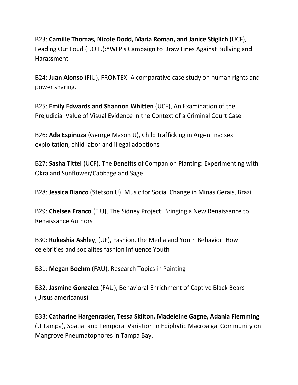B23: **Camille Thomas, Nicole Dodd, Maria Roman, and Janice Stiglich** (UCF), Leading Out Loud (L.O.L.):YWLP's Campaign to Draw Lines Against Bullying and Harassment

B24: **Juan Alonso** (FIU), FRONTEX: A comparative case study on human rights and power sharing.

B25: **Emily Edwards and Shannon Whitten** (UCF), An Examination of the Prejudicial Value of Visual Evidence in the Context of a Criminal Court Case

B26: **Ada Espinoza** (George Mason U), Child trafficking in Argentina: sex exploitation, child labor and illegal adoptions

B27: **Sasha Tittel** (UCF), The Benefits of Companion Planting: Experimenting with Okra and Sunflower/Cabbage and Sage

B28: **Jessica Bianco** (Stetson U), Music for Social Change in Minas Gerais, Brazil

B29: **Chelsea Franco** (FIU), The Sidney Project: Bringing a New Renaissance to Renaissance Authors

B30: **Rokeshia Ashley**, (UF), Fashion, the Media and Youth Behavior: How celebrities and socialites fashion influence Youth

B31: **Megan Boehm** (FAU), Research Topics in Painting

B32: **Jasmine Gonzalez** (FAU), Behavioral Enrichment of Captive Black Bears (Ursus americanus)

B33: **Catharine Hargenrader, Tessa Skilton, Madeleine Gagne, Adania Flemming** (U Tampa), Spatial and Temporal Variation in Epiphytic Macroalgal Community on Mangrove Pneumatophores in Tampa Bay.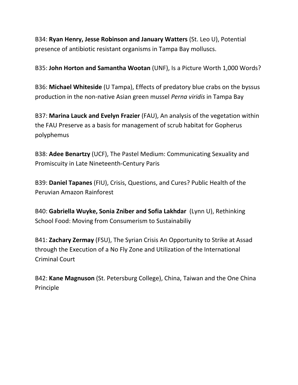B34: **Ryan Henry, Jesse Robinson and January Watters** (St. Leo U), Potential presence of antibiotic resistant organisms in Tampa Bay molluscs.

B35: **John Horton and Samantha Wootan** (UNF), Is a Picture Worth 1,000 Words?

B36: **Michael Whiteside** (U Tampa), Effects of predatory blue crabs on the byssus production in the non-native Asian green mussel *Perna viridis* in Tampa Bay

B37: **Marina Lauck and Evelyn Frazier** (FAU), An analysis of the vegetation within the FAU Preserve as a basis for management of scrub habitat for Gopherus polyphemus

B38: **Adee Benartzy** (UCF), The Pastel Medium: Communicating Sexuality and Promiscuity in Late Nineteenth-Century Paris

B39: **Daniel Tapanes** (FIU), Crisis, Questions, and Cures? Public Health of the Peruvian Amazon Rainforest

B40: **Gabriella Wuyke, Sonia Zniber and Sofia Lakhdar** (Lynn U), Rethinking School Food: Moving from Consumerism to Sustainabiliy

B41: **Zachary Zermay** (FSU), The Syrian Crisis An Opportunity to Strike at Assad through the Execution of a No Fly Zone and Utilization of the International Criminal Court

B42: **Kane Magnuson** (St. Petersburg College), China, Taiwan and the One China Principle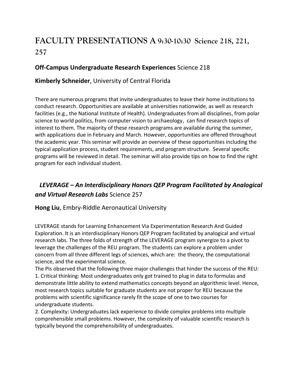# **FACULTY PRESENTATIONS A 9:30-10:30 Science 218, 221, 257**

#### **Off-Campus Undergraduate Research Experiences** Science 218

## **Kimberly Schneider**, University of Central Florida

There are numerous programs that invite undergraduates to leave their home institutions to conduct research. Opportunities are available at universities nationwide, as well as research facilities (e.g., the National Institute of Health). Undergraduates from all disciplines, from polar science to world politics, from computer vision to archaeology, can find research topics of interest to them. The majority of these research programs are available during the summer, with applications due in February and March. However, opportunities are offered throughout the academic year. This seminar will provide an overview of these opportunities including the typical application process, student requirements, and program structure. Several specific programs will be reviewed in detail. The seminar will also provide tips on how to find the right program for each individual student.

# *LEVERAGE – An Interdisciplinary Honors QEP Program Facilitated by Analogical and Virtual Research Labs* Science 257

#### **Hong Liu**, Embry-Riddle Aeronautical University

LEVERAGE stands for Learning Enhancement Via Experimentation Research And Guided Exploration. It is an interdisciplinary Honors QEP Program facilitated by analogical and virtual research labs. The three folds of strength of the LEVERAGE program synergize to a pivot to leverage the challenges of the REU program. The students can explore a problem under concern from all three different legs of sciences, which are: the theory, the computational science, and the experimental science.

The PIs observed that the following three major challenges that hinder the success of the REU: 1. Critical thinking: Most undergraduates only got trained to plug in data to formulas and demonstrate little ability to extend mathematics concepts beyond an algorithmic level. Hence, most research topics suitable for graduate students are not proper for REU because the problems with scientific significance rarely fit the scope of one to two courses for undergraduate students.

2. Complexity: Undergraduates lack experience to divide complex problems into multiple comprehensible small problems. However, the complexity of valuable scientific research is typically beyond the comprehensibility of undergraduates.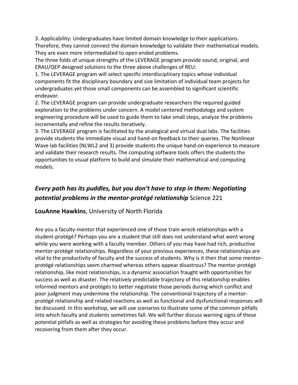3. Applicability: Undergraduates have limited domain knowledge to their applications. Therefore, they cannot connect the domain knowledge to validate their mathematical models. They are even more intermediated to open ended problems.

The three folds of unique strengths of the LEVERAGE program provide sound, original, and ERAU/QEP designed solutions to the three above challenges of REU:

1. The LEVERAGE program will select specific interdisciplinary topics whose individual components fit the disciplinary boundary and size limitation of individual team projects for undergraduates yet those small components can be assembled to significant scientific endeavor.

2. The LEVERAGE program can provide undergraduate researchers the required guided exploration to the problems under concern. A model centered methodology and system engineering procedure will be used to guide them to take small steps, analyze the problems incrementally and refine the results iteratively.

3. The LEVERAGE program is facilitated by the analogical and virtual dual labs. The facilities provide students the immediate visual and hand-on feedback to their queries. The Nonlinear Wave lab facilities (NLWL2 and 3) provide students the unique hand-on experience to measure and validate their research results. The computing software tools offers the students the opportunities to visual platform to build and simulate their mathematical and computing models.

# *Every path has its puddles, but you don't have to step in them: Negotiating potential problems in the mentor-protégé relationship* Science 221

#### **LouAnne Hawkins**, University of North Florida

Are you a faculty-mentor that experienced one of those train wreck relationships with a student-protégé? Perhaps you are a student that still does not understand what went wrong while you were working with a faculty member. Others of you may have had rich, productive mentor-protégé relationships. Regardless of your previous experiences, these relationships are vital to the productivity of faculty and the success of students. Why is it then that some mentorprotégé relationships seem charmed whereas others appear disastrous? The mentor-protégé relationship, like most relationships, is a dynamic association fraught with opportunities for success as well as disaster. The relatively predictable trajectory of this relationship enables informed mentors and protégés to better negotiate those periods during which conflict and poor judgment may undermine the relationship. The conventional trajectory of a mentorprotégé relationship and related reactions as well as functional and dysfunctional responses will be discussed. In this workshop, we will use scenarios to illustrate some of the common pitfalls into which faculty and students sometimes fall. We will further discuss warning signs of these potential pitfalls as well as strategies for avoiding these problems before they occur and recovering from them after they occur.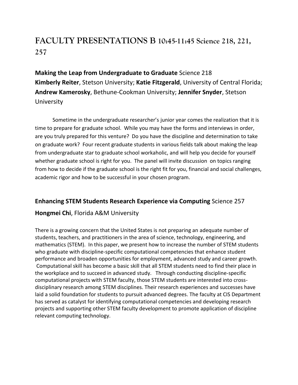# **FACULTY PRESENTATIONS B 10:45-11:45 Science 218, 221, 257**

**Making the Leap from Undergraduate to Graduate** Science 218 **Kimberly Reiter**, Stetson University; **Katie Fitzgerald**, University of Central Florida; **Andrew Kamerosky**, Bethune-Cookman University; **Jennifer Snyder**, Stetson **University** 

Sometime in the undergraduate researcher's junior year comes the realization that it is time to prepare for graduate school. While you may have the forms and interviews in order, are you truly prepared for this venture? Do you have the discipline and determination to take on graduate work? Four recent graduate students in various fields talk about making the leap from undergraduate star to graduate school workaholic, and will help you decide for yourself whether graduate school is right for you. The panel will invite discussion on topics ranging from how to decide if the graduate school is the right fit for you, financial and social challenges, academic rigor and how to be successful in your chosen program.

## **Enhancing STEM Students Research Experience via Computing** Science 257

## **Hongmei Chi**, Florida A&M University

There is a growing concern that the United States is not preparing an adequate number of students, teachers, and practitioners in the area of science, technology, engineering, and mathematics (STEM). In this paper, we present how to increase the number of STEM students who graduate with discipline-specific computational competencies that enhance student performance and broaden opportunities for employment, advanced study and career growth. Computational skill has become a basic skill that all STEM students need to find their place in the workplace and to succeed in advanced study. Through conducting discipline-specific computational projects with STEM faculty, those STEM students are interested into crossdisciplinary research among STEM disciplines. Their research experiences and successes have laid a solid foundation for students to pursuit advanced degrees. The faculty at CIS Department has served as catalyst for identifying computational competencies and developing research projects and supporting other STEM faculty development to promote application of discipline relevant computing technology.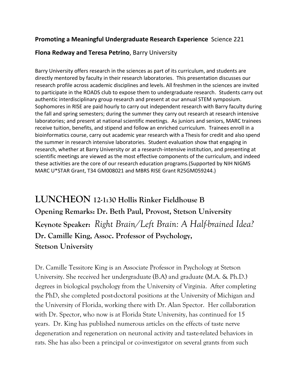## **Promoting a Meaningful Undergraduate Research Experience** Science 221

#### **Flona Redway and Teresa Petrino**, Barry University

Barry University offers research in the sciences as part of its curriculum, and students are directly mentored by faculty in their research laboratories. This presentation discusses our research profile across academic disciplines and levels. All freshmen in the sciences are invited to participate in the ROADS club to expose them to undergraduate research. Students carry out authentic interdisciplinary group research and present at our annual STEM symposium. Sophomores in RISE are paid hourly to carry out independent research with Barry faculty during the fall and spring semesters; during the summer they carry out research at research intensive laboratories; and present at national scientific meetings. As juniors and seniors, MARC trainees receive tuition, benefits, and stipend and follow an enriched curriculum. Trainees enroll in a bioinformatics course, carry out academic year research with a Thesis for credit and also spend the summer in research intensive laboratories. Student evaluation show that engaging in research, whether at Barry University or at a research-intensive institution, and presenting at scientific meetings are viewed as the most effective components of the curriculum, and indeed these activities are the core of our research education programs.(Supported by NIH NIGMS MARC U\*STAR Grant, T34 GM008021 and MBRS RISE Grant R25GM059244.)

**LUNCHEON 12-1:30 Hollis Rinker Fieldhouse B Opening Remarks: Dr. Beth Paul, Provost, Stetson University Keynote Speaker:** *Right Brain/Left Brain: A Half-brained Idea?* **Dr. Camille King, Assoc. Professor of Psychology, Stetson University**

Dr. Camille Tessitore King is an Associate Professor in Psychology at Stetson University. She received her undergraduate (B.A) and graduate (M.A. & Ph.D.) degrees in biological psychology from the University of Virginia. After completing the PhD, she completed post-doctoral positions at the University of Michigan and the University of Florida, working there with Dr. Alan Spector. Her collaboration with Dr. Spector, who now is at Florida State University, has continued for 15 years. Dr. King has published numerous articles on the effects of taste nerve degeneration and regeneration on neuronal activity and taste-related behaviors in rats. She has also been a principal or co-investigator on several grants from such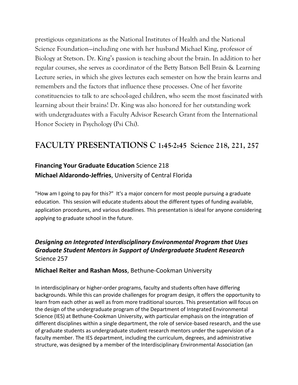prestigious organizations as the National Institutes of Health and the National Science Foundation—including one with her husband Michael King, professor of Biology at Stetson. Dr. King's passion is teaching about the brain. In addition to her regular courses, she serves as coordinator of the Betty Batson Bell Brain & Learning Lecture series, in which she gives lectures each semester on how the brain learns and remembers and the factors that influence these processes. One of her favorite constituencies to talk to are school-aged children, who seem the most fascinated with learning about their brains! Dr. King was also honored for her outstanding work with undergraduates with a Faculty Advisor Research Grant from the International Honor Society in Psychology (Psi Chi).

# **FACULTY PRESENTATIONS C 1:45-2:45 Science 218, 221, 257**

# **Financing Your Graduate Education** Science 218 **Michael Aldarondo-Jeffries**, University of Central Florida

"How am I going to pay for this?" It's a major concern for most people pursuing a graduate education. This session will educate students about the different types of funding available, application procedures, and various deadlines. This presentation is ideal for anyone considering applying to graduate school in the future.

## *Designing an Integrated Interdisciplinary Environmental Program that Uses Graduate Student Mentors in Support of Undergraduate Student Research* Science 257

#### **Michael Reiter and Rashan Moss**, Bethune-Cookman University

In interdisciplinary or higher-order programs, faculty and students often have differing backgrounds. While this can provide challenges for program design, it offers the opportunity to learn from each other as well as from more traditional sources. This presentation will focus on the design of the undergraduate program of the Department of Integrated Environmental Science (IES) at Bethune-Cookman University, with particular emphasis on the integration of different disciplines within a single department, the role of service-based research, and the use of graduate students as undergraduate student research mentors under the supervision of a faculty member. The IES department, including the curriculum, degrees, and administrative structure, was designed by a member of the Interdisciplinary Environmental Association (an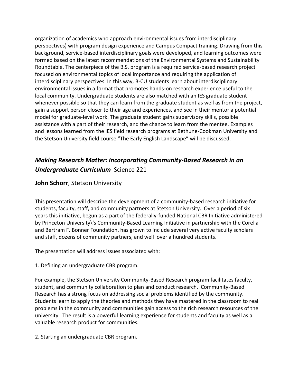organization of academics who approach environmental issues from interdisciplinary perspectives) with program design experience and Campus Compact training. Drawing from this background, service-based interdisciplinary goals were developed, and learning outcomes were formed based on the latest recommendations of the Environmental Systems and Sustainability Roundtable. The centerpiece of the B.S. program is a required service-based research project focused on environmental topics of local importance and requiring the application of interdisciplinary perspectives. In this way, B-CU students learn about interdisciplinary environmental issues in a format that promotes hands-on research experience useful to the local community. Undergraduate students are also matched with an IES graduate student whenever possible so that they can learn from the graduate student as well as from the project, gain a support person closer to their age and experiences, and see in their mentor a potential model for graduate-level work. The graduate student gains supervisory skills, possible assistance with a part of their research, and the chance to learn from the mentee. Examples and lessons learned from the IES field research programs at Bethune-Cookman University and the Stetson University field course "The Early English Landscape" will be discussed.

# *Making Research Matter: Incorporating Community-Based Research in an Undergraduate Curriculum* Science 221

#### **John Schorr**, Stetson University

This presentation will describe the development of a community-based research initiative for students, faculty, staff, and community partners at Stetson University. Over a period of six years this initiative, begun as a part of the federally-funded National CBR Initiative administered by Princeton University\'s Community-Based Learning Initiative in partnership with the Corella and Bertram F. Bonner Foundation, has grown to include several very active faculty scholars and staff, dozens of community partners, and well over a hundred students.

The presentation will address issues associated with:

1. Defining an undergraduate CBR program.

For example, the Stetson University Community-Based Research program facilitates faculty, student, and community collaboration to plan and conduct research. Community-Based Research has a strong focus on addressing social problems identified by the community. Students learn to apply the theories and methods they have mastered in the classroom to real problems in the community and communities gain access to the rich research resources of the university. The result is a powerful learning experience for students and faculty as well as a valuable research product for communities.

2. Starting an undergraduate CBR program.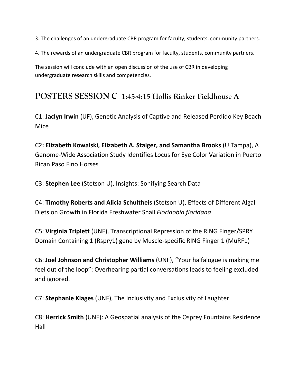3. The challenges of an undergraduate CBR program for faculty, students, community partners.

4. The rewards of an undergraduate CBR program for faculty, students, community partners.

The session will conclude with an open discussion of the use of CBR in developing undergraduate research skills and competencies.

# **POSTERS SESSION C 1:45-4:15 Hollis Rinker Fieldhouse A**

C1: **Jaclyn Irwin** (UF), Genetic Analysis of Captive and Released Perdido Key Beach Mice

C2**: Elizabeth Kowalski, Elizabeth A. Staiger, and Samantha Brooks** (U Tampa), A Genome-Wide Association Study Identifies Locus for Eye Color Variation in Puerto Rican Paso Fino Horses

C3: **Stephen Lee** (Stetson U), Insights: Sonifying Search Data

C4: **Timothy Roberts and Alicia Schultheis** (Stetson U), Effects of Different Algal Diets on Growth in Florida Freshwater Snail *Floridobia floridana*

C5: **Virginia Triplett** (UNF), Transcriptional Repression of the RING Finger/SPRY Domain Containing 1 (Rspry1) gene by Muscle-specific RING Finger 1 (MuRF1)

C6: **Joel Johnson and Christopher Williams** (UNF), "Your halfalogue is making me feel out of the loop": Overhearing partial conversations leads to feeling excluded and ignored.

C7: **Stephanie Klages** (UNF), The Inclusivity and Exclusivity of Laughter

C8: **Herrick Smith** (UNF): A Geospatial analysis of the Osprey Fountains Residence Hall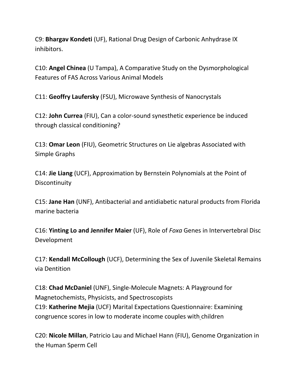C9: **Bhargav Kondeti** (UF), Rational Drug Design of Carbonic Anhydrase IX inhibitors.

C10: **Angel Chinea** (U Tampa), A Comparative Study on the Dysmorphological Features of FAS Across Various Animal Models

C11: **Geoffry Laufersky** (FSU), Microwave Synthesis of Nanocrystals

C12: **John Currea** (FIU), Can a color-sound synesthetic experience be induced through classical conditioning?

C13: **Omar Leon** (FIU), Geometric Structures on Lie algebras Associated with Simple Graphs

C14: **Jie Liang** (UCF), Approximation by Bernstein Polynomials at the Point of Discontinuity

C15: **Jane Han** (UNF), Antibacterial and antidiabetic natural products from Florida marine bacteria

C16: **Yinting Lo and Jennifer Maier** (UF), Role of *Foxa* Genes in Intervertebral Disc Development

C17: **Kendall McCollough** (UCF), Determining the Sex of Juvenile Skeletal Remains via Dentition

C18: **Chad McDaniel** (UNF), Single-Molecule Magnets: A Playground for Magnetochemists, Physicists, and Spectroscopists C19: **Katherine Mejia** (UCF) Marital Expectations Questionnaire: Examining congruence scores in low to moderate income couples with children

C20: **Nicole Millan**, Patricio Lau and Michael Hann (FIU), Genome Organization in the Human Sperm Cell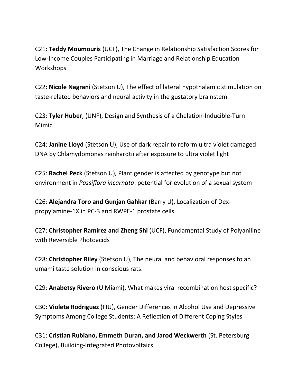C21: **Teddy Moumouris** (UCF), The Change in Relationship Satisfaction Scores for Low-Income Couples Participating in Marriage and Relationship Education Workshops

C22: **Nicole Nagrani** (Stetson U), The effect of lateral hypothalamic stimulation on taste-related behaviors and neural activity in the gustatory brainstem

C23: **Tyler Huber**, (UNF), Design and Synthesis of a Chelation-Inducible-Turn Mimic

C24: **Janine Lloyd** (Stetson U), Use of dark repair to reform ultra violet damaged DNA by Chlamydomonas reinhardtii after exposure to ultra violet light

C25: **Rachel Peck** (Stetson U), Plant gender is affected by genotype but not environment in *Passiflora incarnata*: potential for evolution of a sexual system

C26: **Alejandra Toro and Gunjan Gahkar** (Barry U), Localization of Dexpropylamine-1X in PC-3 and RWPE-1 prostate cells

C27: **Christopher Ramirez and Zheng Shi** (UCF), Fundamental Study of Polyaniline with Reversible Photoacids

C28: **Christopher Riley** (Stetson U), The neural and behavioral responses to an umami taste solution in conscious rats.

C29: **Anabetsy Rivero** (U Miami), What makes viral recombination host specific?

C30: **Violeta Rodriguez** (FIU), Gender Differences in Alcohol Use and Depressive Symptoms Among College Students: A Reflection of Different Coping Styles

C31: **Cristian Rubiano, Emmeth Duran, and Jarod Weckwerth** (St. Petersburg College), Building-Integrated Photovoltaics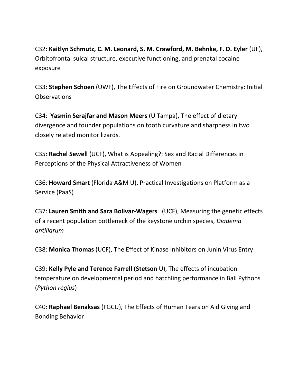C32: **Kaitlyn Schmutz, C. M. Leonard, S. M. Crawford, M. Behnke, F. D. Eyler** (UF), Orbitofrontal sulcal structure, executive functioning, and prenatal cocaine exposure

C33: **Stephen Schoen** (UWF), The Effects of Fire on Groundwater Chemistry: Initial **Observations** 

C34: **Yasmin Serajfar and Mason Meers** (U Tampa), The effect of dietary divergence and founder populations on tooth curvature and sharpness in two closely related monitor lizards.

C35: **Rachel Sewell** (UCF), What is Appealing?: Sex and Racial Differences in Perceptions of the Physical Attractiveness of Women

C36: **Howard Smart** (Florida A&M U), Practical Investigations on Platform as a Service (PaaS)

C37: **Lauren Smith and Sara Bolivar-Wagers** (UCF), Measuring the genetic effects of a recent population bottleneck of the keystone urchin species, *Diadema antillarum*

C38: **Monica Thomas** (UCF), The Effect of Kinase Inhibitors on Junin Virus Entry

C39: **Kelly Pyle and Terence Farrell (Stetson** U), The effects of incubation temperature on developmental period and hatchling performance in Ball Pythons (*Python regius*)

C40: **Raphael Benaksas** (FGCU), The Effects of Human Tears on Aid Giving and Bonding Behavior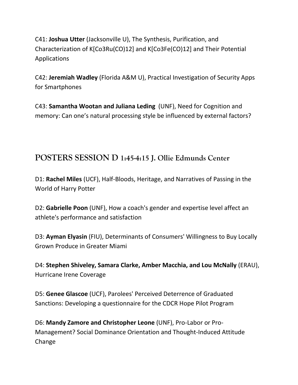C41: **Joshua Utter** (Jacksonville U), The Synthesis, Purification, and Characterization of K[Co3Ru(CO)12] and K[Co3Fe(CO)12] and Their Potential Applications

C42: **Jeremiah Wadley** (Florida A&M U), Practical Investigation of Security Apps for Smartphones

C43: **Samantha Wootan and Juliana Leding** (UNF), Need for Cognition and memory: Can one's natural processing style be influenced by external factors?

# **POSTERS SESSION D 1:45-4:15 J. Ollie Edmunds Center**

D1: **Rachel Miles** (UCF), Half-Bloods, Heritage, and Narratives of Passing in the World of Harry Potter

D2: **Gabrielle Poon** (UNF), How a coach's gender and expertise level affect an athlete's performance and satisfaction

D3: **Ayman Elyasin** (FIU), Determinants of Consumers' Willingness to Buy Locally Grown Produce in Greater Miami

D4: **Stephen Shiveley, Samara Clarke, Amber Macchia, and Lou McNally** (ERAU), Hurricane Irene Coverage

D5: **Genee Glascoe** (UCF), Parolees' Perceived Deterrence of Graduated Sanctions: Developing a questionnaire for the CDCR Hope Pilot Program

D6: **Mandy Zamore and Christopher Leone** (UNF), Pro-Labor or Pro-Management? Social Dominance Orientation and Thought-Induced Attitude Change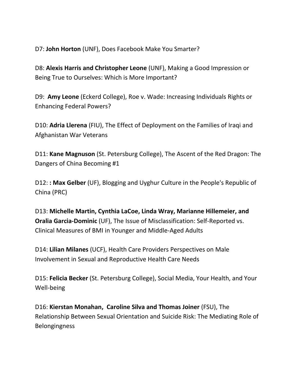D7: **John Horton** (UNF), Does Facebook Make You Smarter?

D8: **Alexis Harris and Christopher Leone** (UNF), Making a Good Impression or Being True to Ourselves: Which is More Important?

D9: **Amy Leone** (Eckerd College), Roe v. Wade: Increasing Individuals Rights or Enhancing Federal Powers?

D10: **Adria Llerena** (FIU), The Effect of Deployment on the Families of Iraqi and Afghanistan War Veterans

D11: **Kane Magnuson** (St. Petersburg College), The Ascent of the Red Dragon: The Dangers of China Becoming #1

D12: **: Max Gelber** (UF), Blogging and Uyghur Culture in the People's Republic of China (PRC)

D13: **Michelle Martin, Cynthia LaCoe, Linda Wray, Marianne Hillemeier, and Oralia Garcia-Dominic** (UF), The Issue of Misclassification: Self-Reported vs. Clinical Measures of BMI in Younger and Middle-Aged Adults

D14: **Lilian Milanes** (UCF), Health Care Providers Perspectives on Male Involvement in Sexual and Reproductive Health Care Needs

D15: **Felicia Becker** (St. Petersburg College), Social Media, Your Health, and Your Well-being

D16: **Kierstan Monahan, Caroline Silva and Thomas Joiner** (FSU), The Relationship Between Sexual Orientation and Suicide Risk: The Mediating Role of Belongingness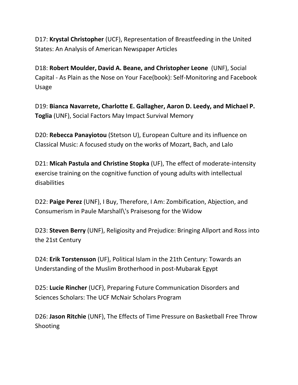D17: **Krystal Christopher** (UCF), Representation of Breastfeeding in the United States: An Analysis of American Newspaper Articles

D18: **Robert Moulder, David A. Beane, and Christopher Leone** (UNF), Social Capital - As Plain as the Nose on Your Face(book): Self-Monitoring and Facebook Usage

D19: **Bianca Navarrete, Charlotte E. Gallagher, Aaron D. Leedy, and Michael P. Toglia** (UNF), Social Factors May Impact Survival Memory

D20: **Rebecca Panayiotou** (Stetson U), European Culture and its influence on Classical Music: A focused study on the works of Mozart, Bach, and Lalo

D21: **Micah Pastula and Christine Stopka** (UF), The effect of moderate-intensity exercise training on the cognitive function of young adults with intellectual disabilities

D22: **Paige Perez** (UNF), I Buy, Therefore, I Am: Zombification, Abjection, and Consumerism in Paule Marshall\'s Praisesong for the Widow

D23: **Steven Berry** (UNF), Religiosity and Prejudice: Bringing Allport and Ross into the 21st Century

D24: **Erik Torstensson** (UF), Political Islam in the 21th Century: Towards an Understanding of the Muslim Brotherhood in post-Mubarak Egypt

D25: **Lucie Rincher** (UCF), Preparing Future Communication Disorders and Sciences Scholars: The UCF McNair Scholars Program

D26: **Jason Ritchie** (UNF), The Effects of Time Pressure on Basketball Free Throw Shooting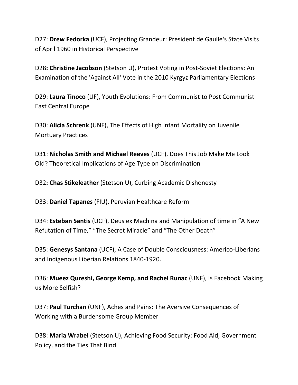D27: **Drew Fedorka** (UCF), Projecting Grandeur: President de Gaulle's State Visits of April 1960 in Historical Perspective

D28**: Christine Jacobson** (Stetson U), Protest Voting in Post-Soviet Elections: An Examination of the 'Against All' Vote in the 2010 Kyrgyz Parliamentary Elections

D29: **Laura Tinoco** (UF), Youth Evolutions: From Communist to Post Communist East Central Europe

D30: **Alicia Schrenk** (UNF), The Effects of High Infant Mortality on Juvenile Mortuary Practices

D31: **Nicholas Smith and Michael Reeves** (UCF), Does This Job Make Me Look Old? Theoretical Implications of Age Type on Discrimination

D32**: Chas Stikeleather** (Stetson U), Curbing Academic Dishonesty

D33: **Daniel Tapanes** (FIU), Peruvian Healthcare Reform

D34: **Esteban Santis** (UCF), Deus ex Machina and Manipulation of time in "A New Refutation of Time," "The Secret Miracle" and "The Other Death"

D35: **Genesys Santana** (UCF), A Case of Double Consciousness: Americo-Liberians and Indigenous Liberian Relations 1840-1920.

D36: **Mueez Qureshi, George Kemp, and Rachel Runac** (UNF), Is Facebook Making us More Selfish?

D37: **Paul Turchan** (UNF), Aches and Pains: The Aversive Consequences of Working with a Burdensome Group Member

D38: **Maria Wrabel** (Stetson U), Achieving Food Security: Food Aid, Government Policy, and the Ties That Bind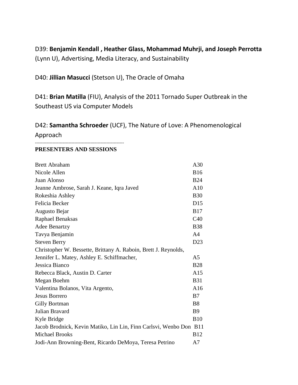D39: **Benjamin Kendall , Heather Glass, Mohammad Muhrji, and Joseph Perrotta** (Lynn U), Advertising, Media Literacy, and Sustainability

D40: **Jillian Masucci** (Stetson U), The Oracle of Omaha

-------------------------------------------------------------

D41: **Brian Matilla** (FIU), Analysis of the 2011 Tornado Super Outbreak in the Southeast US via Computer Models

D42: **Samantha Schroeder** (UCF), The Nature of Love: A Phenomenological Approach

#### **PRESENTERS AND SESSIONS**

| <b>Brett Abraham</b>                                               | A30            |
|--------------------------------------------------------------------|----------------|
| Nicole Allen                                                       | <b>B16</b>     |
| Juan Alonso                                                        | <b>B24</b>     |
| Jeanne Ambrose, Sarah J. Keane, Iqra Javed                         | A10            |
| Rokeshia Ashley                                                    | <b>B30</b>     |
| Felicia Becker                                                     | D15            |
| Augusto Bejar                                                      | <b>B17</b>     |
| Raphael Benaksas                                                   | C40            |
| <b>Adee Benartzy</b>                                               | <b>B38</b>     |
| Tavya Benjamin                                                     | A <sub>4</sub> |
| <b>Steven Berry</b>                                                | D23            |
| Christopher W. Bessette, Brittany A. Raboin, Brett J. Reynolds,    |                |
| Jennifer L. Matey, Ashley E. Schiffmacher,                         | A5             |
| Jessica Bianco                                                     | <b>B28</b>     |
| Rebecca Black, Austin D. Carter                                    | A15            |
| Megan Boehm                                                        | <b>B31</b>     |
| Valentina Bolanos, Vita Argento,                                   | A16            |
| <b>Jesus Borrero</b>                                               | B7             |
| Gilly Bortman                                                      | <b>B8</b>      |
| Julian Bravard                                                     | <b>B</b> 9     |
| Kyle Bridge                                                        | <b>B10</b>     |
| Jacob Brodnick, Kevin Matiko, Lin Lin, Finn Carlsvi, Wenbo Don B11 |                |
| <b>Michael Brooks</b>                                              | <b>B12</b>     |
| Jodi-Ann Browning-Bent, Ricardo DeMoya, Teresa Petrino             | A7             |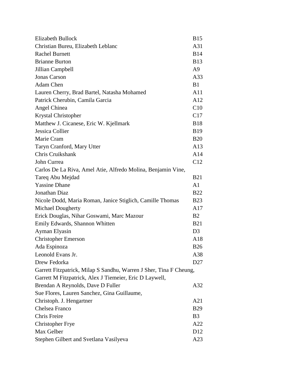| <b>Elizabeth Bullock</b>                                           | <b>B15</b>      |
|--------------------------------------------------------------------|-----------------|
| Christian Bureu, Elizabeth Leblanc                                 | A31             |
| <b>Rachel Burnett</b>                                              | <b>B14</b>      |
| <b>Brianne Burton</b>                                              | <b>B13</b>      |
| Jillian Campbell                                                   | A9              |
| <b>Jonas Carson</b>                                                | A33             |
| Adam Chen                                                          | B1              |
| Lauren Cherry, Brad Bartel, Natasha Mohamed                        | A11             |
| Patrick Cherubin, Camila Garcia                                    | A12             |
| Angel Chinea                                                       | C10             |
| <b>Krystal Christopher</b>                                         | C17             |
| Matthew J. Cicanese, Eric W. Kjellmark                             | <b>B18</b>      |
| Jessica Collier                                                    | <b>B</b> 19     |
| Marie Cram                                                         | <b>B20</b>      |
| Taryn Cranford, Mary Utter                                         | A13             |
| Chris Cruikshank                                                   | A14             |
| John Currea                                                        | C12             |
| Carlos De La Riva, Amel Atie, Alfredo Molina, Benjamin Vine,       |                 |
| Tareq Abu Mejdad                                                   | <b>B21</b>      |
| <b>Yassine Dhane</b>                                               | A1              |
| Jonathan Diaz                                                      | <b>B22</b>      |
| Nicole Dodd, Maria Roman, Janice Stiglich, Camille Thomas          | <b>B23</b>      |
| <b>Michael Dougherty</b>                                           | A17             |
| Erick Douglas, Nihar Goswami, Marc Mazour                          | B <sub>2</sub>  |
| Emily Edwards, Shannon Whitten                                     | <b>B21</b>      |
| Ayman Elyasin                                                      | D3              |
| <b>Christopher Emerson</b>                                         | A18             |
| Ada Espinoza                                                       | <b>B26</b>      |
| Leonold Evans Jr.                                                  | A38             |
| Drew Fedorka                                                       | D <sub>27</sub> |
| Garrett Fitzpatrick, Milap S Sandhu, Warren J Sher, Tina F Cheung, |                 |
| Garrett M Fitzpatrick, Alex J Tiemeier, Eric D Laywell,            |                 |
| Brendan A Reynolds, Dave D Fuller                                  | A32             |
| Sue Flores, Lauren Sanchez, Gina Guillaume,                        |                 |
| Christoph. J. Hengartner                                           | A21             |
| Chelsea Franco                                                     | <b>B29</b>      |
| Chris Freire                                                       | <b>B</b> 3      |
| <b>Christopher Frye</b>                                            | A22             |
| Max Gelber                                                         | D <sub>12</sub> |
| Stephen Gilbert and Svetlana Vasilyeva                             | A23             |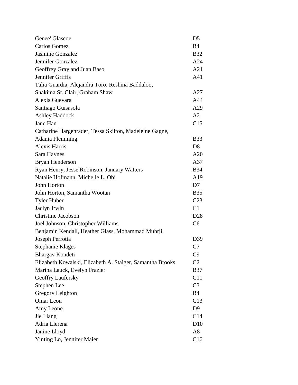| Genee' Glascoe                                            | D <sub>5</sub>  |
|-----------------------------------------------------------|-----------------|
| Carlos Gomez                                              | B <sub>4</sub>  |
| <b>Jasmine Gonzalez</b>                                   | <b>B32</b>      |
| Jennifer Gonzalez                                         | A24             |
| Geoffrey Gray and Juan Baso                               | A21             |
| Jennifer Griffis                                          | A41             |
| Talia Guardia, Alejandra Toro, Reshma Baddaloo,           |                 |
| Shakima St. Clair, Graham Shaw                            | A27             |
| Alexis Guevara                                            | A44             |
| Santiago Guisasola                                        | A29             |
| <b>Ashley Haddock</b>                                     | A2              |
| Jane Han                                                  | C15             |
| Catharine Hargenrader, Tessa Skilton, Madeleine Gagne,    |                 |
| Adania Flemming                                           | <b>B33</b>      |
| <b>Alexis Harris</b>                                      | D <sub>8</sub>  |
| Sara Haynes                                               | A20             |
| Bryan Henderson                                           | A37             |
| Ryan Henry, Jesse Robinson, January Watters               | <b>B34</b>      |
| Natalie Hofmann, Michelle L. Obi                          | A19             |
| John Horton                                               | D7              |
| John Horton, Samantha Wootan                              | <b>B35</b>      |
| <b>Tyler Huber</b>                                        | C <sub>23</sub> |
| Jaclyn Irwin                                              | C1              |
| <b>Christine Jacobson</b>                                 | D <sub>28</sub> |
| Joel Johnson, Christopher Williams                        | C6              |
| Benjamin Kendall, Heather Glass, Mohammad Muhrji,         |                 |
| Joseph Perrotta                                           | D39             |
| Stephanie Klages                                          | C7              |
| Bhargav Kondeti                                           | C9              |
| Elizabeth Kowalski, Elizabeth A. Staiger, Samantha Brooks | C <sub>2</sub>  |
| Marina Lauck, Evelyn Frazier                              | <b>B37</b>      |
| Geoffry Laufersky                                         | C11             |
| Stephen Lee                                               | C <sub>3</sub>  |
| Gregory Leighton                                          | <b>B</b> 4      |
| Omar Leon                                                 | C13             |
| Amy Leone                                                 | D <sub>9</sub>  |
| Jie Liang                                                 | C14             |
| Adria Llerena                                             | D10             |
| Janine Lloyd                                              | A8              |
| Yinting Lo, Jennifer Maier                                | C16             |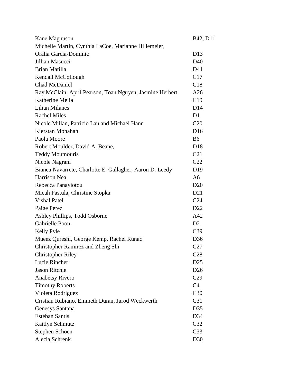| Kane Magnuson                                            | B <sub>42</sub> , D <sub>11</sub> |
|----------------------------------------------------------|-----------------------------------|
| Michelle Martin, Cynthia LaCoe, Marianne Hillemeier,     |                                   |
| Oralia Garcia-Dominic                                    | D <sub>13</sub>                   |
| Jillian Masucci                                          | D <sub>40</sub>                   |
| Brian Matilla                                            | D41                               |
| Kendall McCollough                                       | C17                               |
| Chad McDaniel                                            | C18                               |
| Ray McClain, April Pearson, Toan Nguyen, Jasmine Herbert | A26                               |
| Katherine Mejia                                          | C19                               |
| <b>Lilian Milanes</b>                                    | D14                               |
| <b>Rachel Miles</b>                                      | D <sub>1</sub>                    |
| Nicole Millan, Patricio Lau and Michael Hann             | C20                               |
| Kierstan Monahan                                         | D <sub>16</sub>                   |
| Paola Moore                                              | <b>B6</b>                         |
| Robert Moulder, David A. Beane,                          | D <sub>18</sub>                   |
| <b>Teddy Moumouris</b>                                   | C <sub>21</sub>                   |
| Nicole Nagrani                                           | C <sub>22</sub>                   |
| Bianca Navarrete, Charlotte E. Gallagher, Aaron D. Leedy | D <sub>19</sub>                   |
| <b>Harrison Neal</b>                                     | A <sub>6</sub>                    |
| Rebecca Panayiotou                                       | D <sub>20</sub>                   |
| Micah Pastula, Christine Stopka                          | D21                               |
| <b>Vishal Patel</b>                                      | C <sub>24</sub>                   |
| Paige Perez                                              | D <sub>22</sub>                   |
| Ashley Phillips, Todd Osborne                            | A42                               |
| <b>Gabrielle Poon</b>                                    | D2                                |
| Kelly Pyle                                               | C <sub>39</sub>                   |
| Mueez Qureshi, George Kemp, Rachel Runac                 | D36                               |
| Christopher Ramirez and Zheng Shi                        | C27                               |
| <b>Christopher Riley</b>                                 | C28                               |
| Lucie Rincher                                            | D <sub>25</sub>                   |
| <b>Jason Ritchie</b>                                     | D <sub>26</sub>                   |
| <b>Anabetsy Rivero</b>                                   | C29                               |
| <b>Timothy Roberts</b>                                   | C4                                |
| Violeta Rodriguez                                        | C <sub>30</sub>                   |
| Cristian Rubiano, Emmeth Duran, Jarod Weckwerth          | C31                               |
| Genesys Santana                                          | D35                               |
| <b>Esteban Santis</b>                                    | D34                               |
| Kaitlyn Schmutz                                          | C <sub>32</sub>                   |
| Stephen Schoen                                           | C <sub>33</sub>                   |
| Alecia Schrenk                                           | D30                               |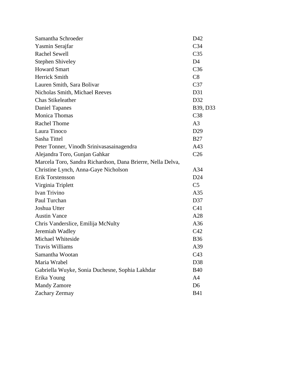| Samantha Schroeder                                          | D42             |
|-------------------------------------------------------------|-----------------|
| Yasmin Serajfar                                             | C <sub>34</sub> |
| <b>Rachel Sewell</b>                                        | C <sub>35</sub> |
| <b>Stephen Shiveley</b>                                     | D <sub>4</sub>  |
| <b>Howard Smart</b>                                         | C <sub>36</sub> |
| Herrick Smith                                               | C8              |
| Lauren Smith, Sara Bolivar                                  | C <sub>37</sub> |
| Nicholas Smith, Michael Reeves                              | D31             |
| <b>Chas Stikeleather</b>                                    | D32             |
| <b>Daniel Tapanes</b>                                       | B39, D33        |
| <b>Monica Thomas</b>                                        | C <sub>38</sub> |
| <b>Rachel Thome</b>                                         | A <sub>3</sub>  |
| Laura Tinoco                                                | D <sub>29</sub> |
| Sasha Tittel                                                | <b>B27</b>      |
| Peter Tonner, Vinodh Srinivasasainagendra                   | A43             |
| Alejandra Toro, Gunjan Gahkar                               | C <sub>26</sub> |
| Marcela Toro, Sandra Richardson, Dana Brierre, Nella Delva, |                 |
| Christine Lynch, Anna-Gaye Nicholson                        | A34             |
| Erik Torstensson                                            | D24             |
| Virginia Triplett                                           | C <sub>5</sub>  |
| Ivan Trivino                                                | A35             |
| Paul Turchan                                                | D37             |
| Joshua Utter                                                | C <sub>41</sub> |
| <b>Austin Vance</b>                                         | A28             |
| Chris Vanderslice, Emilija McNulty                          | A36             |
| Jeremiah Wadley                                             | C42             |
| Michael Whiteside                                           | <b>B36</b>      |
| <b>Travis Williams</b>                                      | A39             |
| Samantha Wootan                                             | C43             |
| Maria Wrabel                                                | D38             |
| Gabriella Wuyke, Sonia Duchesne, Sophia Lakhdar             | <b>B40</b>      |
| Erika Young                                                 | A <sub>4</sub>  |
| <b>Mandy Zamore</b>                                         | D <sub>6</sub>  |
| Zachary Zermay                                              | <b>B41</b>      |